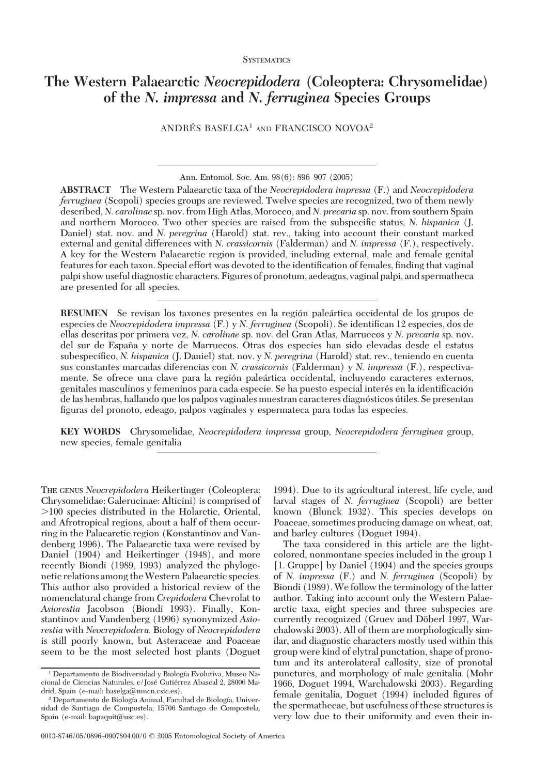**SYSTEMATICS** 

# **The Western Palaearctic** *Neocrepidodera* **(Coleoptera: Chrysomelidae) of the** *N. impressa* **and** *N. ferruginea* **Species Groups**

ANDRÉS BASELGA<sup>1</sup> AND FRANCISCO NOVOA<sup>2</sup>

Ann. Entomol. Soc. Am. 98(6): 896-907 (2005)

**ABSTRACT** The Western Palaearctic taxa of the *Neocrepidodera impressa* (F.) and *Neocrepidodera ferruginea* (Scopoli) species groups are reviewed. Twelve species are recognized, two of them newly described, *N. carolinae* sp. nov. from High Atlas, Morocco, and *N. precaria* sp. nov. from southern Spain and northern Morocco. Two other species are raised from the subspecific status, *N. hispanica* (J. Daniel) stat. nov. and *N. peregrina* (Harold) stat. rev., taking into account their constant marked external and genital differences with *N. crassicornis* (Falderman) and *N. impressa* (F.), respectively. A key for the Western Palaearctic region is provided, including external, male and female genital features for each taxon. Special effort was devoted to the identification of females, finding that vaginal palpi show useful diagnostic characters. Figures of pronotum, aedeagus, vaginal palpi, and spermatheca are presented for all species.

**RESUMEN** Se revisan los taxones presentes en la región paleártica occidental de los grupos de especies de *Neocrepidodera impressa* (F.) y *N. ferruginea* (Scopoli). Se identifican 12 especies, dos de ellas descritas por primera vez, *N. carolinae* sp. nov. del Gran Atlas, Marruecos y *N. precaria* sp. nov. del sur de España y norte de Marruecos. Otras dos especies han sido elevadas desde el estatus subespecífico, *N. hispanica* (J. Daniel) stat. nov. y *N. peregrina* (Harold) stat. rev., teniendo en cuenta sus constantes marcadas diferencias con *N. crassicornis* (Falderman) y *N. impressa* (F.), respectivamente. Se ofrece una clave para la región paleártica occidental, incluyendo caracteres externos, genitales masculinos y femeninos para cada especie. Se ha puesto especial interés en la identificación de las hembras, hallando que los palpos vaginales muestran caracteres diagnósticos útiles. Se presentan figuras del pronoto, edeago, palpos vaginales y espermateca para todas las especies.

**KEY WORDS** Chrysomelidae, *Neocrepidodera impressa* group, *Neocrepidodera ferruginea* group, new species, female genitalia

THE GENUS *Neocrepidodera* Heikertinger (Coleoptera: Chrysomelidae: Galerucinae: Alticini) is comprised of  $>100$  species distributed in the Holarctic, Oriental, and Afrotropical regions, about a half of them occurring in the Palaearctic region (Konstantinov and Vandenberg 1996). The Palaearctic taxa were revised by Daniel (1904) and Heikertinger (1948), and more recently Biondi (1989, 1993) analyzed the phylogenetic relations among theWestern Palaearctic species. This author also provided a historical review of the nomenclatural change from *Crepidodera* Chevrolat to *Asiorestia* Jacobson (Biondi 1993). Finally, Konstantinov and Vandenberg (1996) synonymized *Asiorestia* with *Neocrepidodera.* Biology of *Neocrepidodera* is still poorly known, but Asteraceae and Poaceae seem to be the most selected host plants (Doguet

1994). Due to its agricultural interest, life cycle, and larval stages of *N. ferruginea* (Scopoli) are better known (Blunck 1932). This species develops on Poaceae, sometimes producing damage on wheat, oat, and barley cultures (Doguet 1994).

The taxa considered in this article are the lightcolored, nonmontane species included in the group 1 [1. Gruppe] by Daniel (1904) and the species groups of *N. impressa* (F.) and *N. ferruginea* (Scopoli) by Biondi (1989).We follow the terminology of the latter author. Taking into account only the Western Palaearctic taxa, eight species and three subspecies are currently recognized (Gruev and Döberl 1997, Warchalowski 2003). All of them are morphologically similar, and diagnostic characters mostly used within this group were kind of elytral punctation, shape of pronotum and its anterolateral callosity, size of pronotal punctures, and morphology of male genitalia (Mohr 1966, Doguet 1994, Warchalowski 2003). Regarding female genitalia, Doguet (1994) included figures of the spermathecae, but usefulness of these structures is very low due to their uniformity and even their in-

<sup>&</sup>lt;sup>1</sup> Departamento de Biodiversidad y Biología Evolutiva, Museo Nacional de Ciencias Naturales, c/José Gutiérrez Abascal 2, 28006 Madrid, Spain (e-mail: baselga@mncn.csic.es).

<sup>&</sup>lt;sup>2</sup> Departamento de Biología Animal, Facultad de Biología, Universidad de Santiago de Compostela, 15706 Santiago de Compostela, Spain (e-mail: bapaquit@usc.es).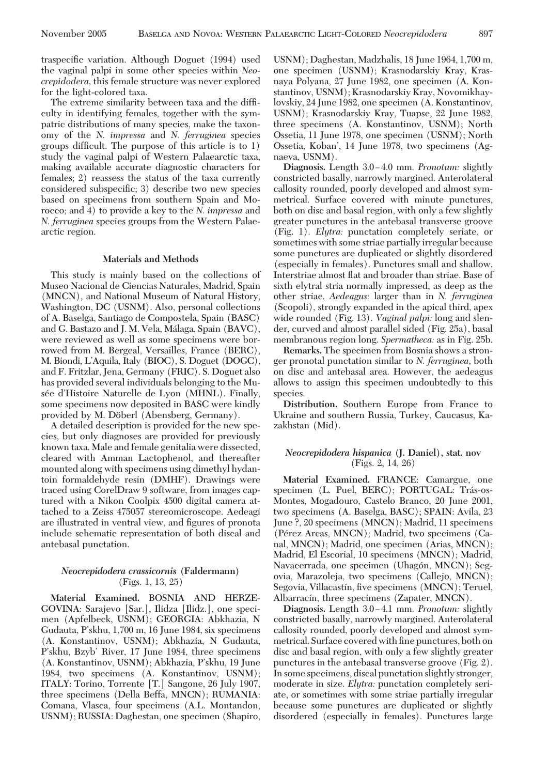traspecific variation. Although Doguet (1994) used the vaginal palpi in some other species within *Neocrepidodera,* this female structure was never explored for the light-colored taxa.

The extreme similarity between taxa and the difficulty in identifying females, together with the sympatric distributions of many species, make the taxonomy of the *N. impressa* and *N. ferruginea* species groups difficult. The purpose of this article is to  $1$ ) study the vaginal palpi of Western Palaearctic taxa, making available accurate diagnostic characters for females; 2) reassess the status of the taxa currently considered subspecific; 3) describe two new species based on specimens from southern Spain and Morocco; and 4) to provide a key to the *N. impressa* and *N. ferruginea* species groups from the Western Palaearctic region.

## **Materials and Methods**

This study is mainly based on the collections of Museo Nacional de Ciencias Naturales, Madrid, Spain (MNCN), and National Museum of Natural History, Washington, DC (USNM). Also, personal collections of A. Baselga, Santiago de Compostela, Spain (BASC) and G. Bastazo and J. M. Vela, Málaga, Spain (BAVC), were reviewed as well as some specimens were borrowed from M. Bergeal, Versailles, France (BERC), M. Biondi, L'Aquila, Italy (BIOC), S. Doguet (DOGC), and F. Fritzlar, Jena, Germany (FRIC). S. Doguet also has provided several individuals belonging to the Musée d'Histoire Naturelle de Lyon (MHNL). Finally, some specimens now deposited in BASC were kindly provided by M. Döberl (Abensberg, Germany).

A detailed description is provided for the new species, but only diagnoses are provided for previously known taxa. Male and female genitalia were dissected, cleared with Amman Lactophenol, and thereafter mounted along with specimens using dimethyl hydantoin formaldehyde resin (DMHF). Drawings were traced using CorelDraw 9 software, from images captured with a Nikon Coolpix 4500 digital camera attached to a Zeiss 475057 stereomicroscope. Aedeagi are illustrated in ventral view, and figures of pronota include schematic representation of both discal and antebasal punctation.

## *Neocrepidodera crassicornis* **(Faldermann)** (Figs. 1, 13, 25)

**Material Examined.** BOSNIA AND HERZE-GOVINA: Sarajevo [Sar.], Ilidza [Ilidz.], one specimen (Apfelbeck, USNM); GEORGIA: Abkhazia, N Gudauta, P'skhu, 1,700 m, 16 June 1984, six specimens (A. Konstantinov, USNM); Abkhazia, N Gudauta, P'skhu, Bzyb' River, 17 June 1984, three specimens (A. Konstantinov, USNM); Abkhazia, P'skhu, 19 June 1984, two specimens (A. Konstantinov, USNM); ITALY: Torino, Torrente [T.] Sangone, 26 July 1907, three specimens (Della Beffa, MNCN); RUMANIA: Comana, Vlasca, four specimens (A.L. Montandon, USNM); RUSSIA: Daghestan, one specimen (Shapiro, USNM); Daghestan, Madzhalis, 18 June 1964, 1,700 m, one specimen (USNM); Krasnodarskiy Kray, Krasnaya Polyana, 27 June 1982, one specimen (A. Konstantinov, USNM); Krasnodarskiy Kray, Novomikhaylovskiy, 24 June 1982, one specimen (A. Konstantinov, USNM); Krasnodarskiy Kray, Tuapse, 22 June 1982, three specimens (A. Konstantinov, USNM); North Ossetia, 11 June 1978, one specimen (USNM); North Ossetia, Koban', 14 June 1978, two specimens (Agnaeva, USNM).

**Diagnosis.** Length 3.0–4.0 mm. *Pronotum:* slightly constricted basally, narrowly margined. Anterolateral callosity rounded, poorly developed and almost symmetrical. Surface covered with minute punctures, both on disc and basal region, with only a few slightly greater punctures in the antebasal transverse groove (Fig. 1). *Elytra:* punctation completely seriate, or sometimes with some striae partially irregular because some punctures are duplicated or slightly disordered (especially in females). Punctures small and shallow. Interstriae almost ßat and broader than striae. Base of sixth elytral stria normally impressed, as deep as the other striae. *Aedeagus:* larger than in *N. ferruginea* (Scopoli), strongly expanded in the apical third, apex wide rounded (Fig. 13). *Vaginal palpi:* long and slender, curved and almost parallel sided (Fig. 25a), basal membranous region long. *Spermatheca:* as in Fig. 25b.

**Remarks.** The specimen from Bosnia shows a stronger pronotal punctation similar to *N. ferruginea,* both on disc and antebasal area. However, the aedeagus allows to assign this specimen undoubtedly to this species.

**Distribution.** Southern Europe from France to Ukraine and southern Russia, Turkey, Caucasus, Kazakhstan (Mid).

## *Neocrepidodera hispanica* **(J. Daniel), stat. nov** (Figs. 2, 14, 26)

**Material Examined.** FRANCE: Camargue, one specimen (L. Puel, BERC); PORTUGAL: Trás-os-Montes, Mogadouro, Castelo Branco, 20 June 2001, two specimens (A. Baselga, BASC); SPAIN: Avila, 23 June ?, 20 specimens (MNCN); Madrid, 11 specimens (Pérez Arcas, MNCN); Madrid, two specimens (Canal, MNCN); Madrid, one specimen (Arias, MNCN); Madrid, El Escorial, 10 specimens (MNCN); Madrid, Navacerrada, one specimen (Uhagón, MNCN); Segovia, Marazoleja, two specimens (Callejo, MNCN); Segovia, Villacastín, five specimens (MNCN); Teruel, Albarracín, three specimens (Zapater, MNCN).

**Diagnosis.** Length 3.0–4.1 mm. *Pronotum:* slightly constricted basally, narrowly margined. Anterolateral callosity rounded, poorly developed and almost symmetrical. Surface covered with fine punctures, both on disc and basal region, with only a few slightly greater punctures in the antebasal transverse groove (Fig. 2). In some specimens, discal punctation slightly stronger, moderate in size. *Elytra:* punctation completely seriate, or sometimes with some striae partially irregular because some punctures are duplicated or slightly disordered (especially in females). Punctures large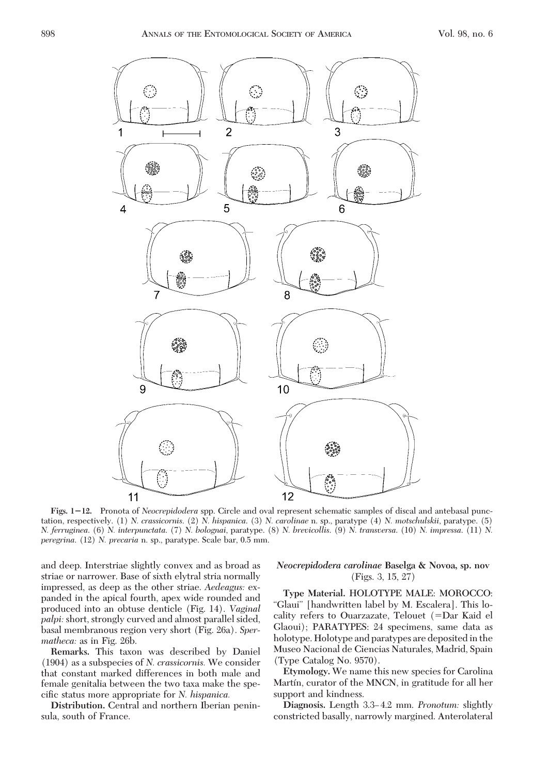

**Figs. 112.** Pronota of *Neocrepidodera* spp. Circle and oval represent schematic samples of discal and antebasal punctation, respectively. (1) *N. crassicornis*. (2) *N. hispanica*. (3) *N. carolinae* n. sp., paratype (4) *N. motschulskii*, paratype. (5) *N. ferruginea*. (6) *N. interpunctata*. (7) *N. bolognai*, paratype. (8) *N. brevicollis*. (9) *N. transversa*. (10) *N. impressa*. (11) *N. peregrina*. (12) *N. precaria* n. sp., paratype. Scale bar, 0.5 mm.

and deep. Interstriae slightly convex and as broad as striae or narrower. Base of sixth elytral stria normally impressed, as deep as the other striae. *Aedeagus:* expanded in the apical fourth, apex wide rounded and produced into an obtuse denticle (Fig. 14). *Vaginal palpi:* short, strongly curved and almost parallel sided, basal membranous region very short (Fig. 26a). *Spermatheca:* as in Fig. 26b.

**Remarks.** This taxon was described by Daniel (1904) as a subspecies of *N. crassicornis.* We consider that constant marked differences in both male and female genitalia between the two taxa make the specific status more appropriate for *N. hispanica.* 

**Distribution.** Central and northern Iberian peninsula, south of France.

## *Neocrepidodera carolinae* **Baselga & Novoa, sp. nov** (Figs. 3, 15, 27)

**Type Material.** HOLOTYPE MALE: MOROCCO: "Glaui" [handwritten label by M. Escalera]. This locality refers to Ouarzazate, Telouet (=Dar Kaid el Glaoui); PARATYPES: 24 specimens, same data as holotype. Holotype and paratypes are deposited in the Museo Nacional de Ciencias Naturales, Madrid, Spain (Type Catalog No. 9570).

**Etymology.** We name this new species for Carolina Martín, curator of the MNCN, in gratitude for all her support and kindness.

Diagnosis. Length 3.3-4.2 mm. *Pronotum:* slightly constricted basally, narrowly margined. Anterolateral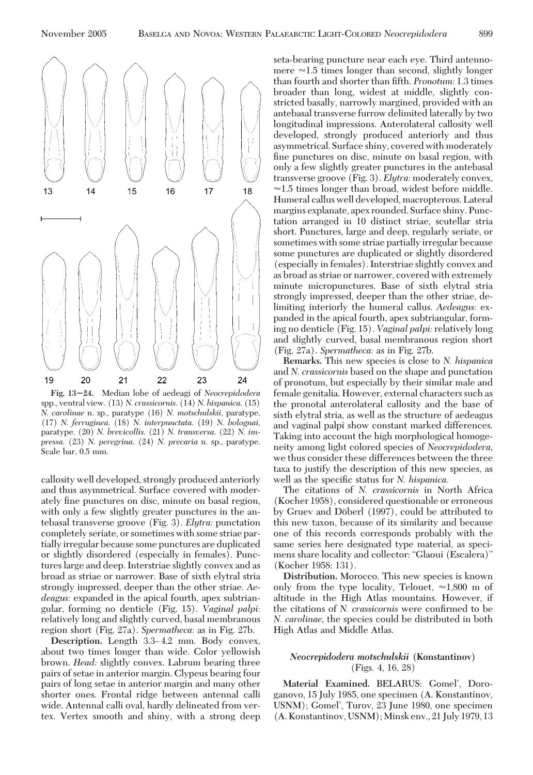

**Fig. 1324.** Median lobe of aedeagi of *Neocrepidodera* spp., ventral view. (13) *N. crassicornis*. (14) *N. hispanica*. (15) *N. carolinae* n. sp., paratype (16) *N. motschulskii*, paratype. (17) *N. ferruginea*. (18) *N. interpunctata*. (19) *N. bolognai*, paratype. (20) *N. brevicollis*. (21) *N. transversa*. (22) *N. impressa*. (23) *N. peregrina*. (24) *N. precaria* n. sp., paratype. Scale bar, 0.5 mm.

callosity well developed, strongly produced anteriorly and thus asymmetrical. Surface covered with moderately fine punctures on disc, minute on basal region, with only a few slightly greater punctures in the antebasal transverse groove (Fig. 3). *Elytra:* punctation completely seriate, or sometimes with some striae partially irregular because some punctures are duplicated or slightly disordered (especially in females). Punctures large and deep. Interstriae slightly convex and as broad as striae or narrower. Base of sixth elytral stria strongly impressed, deeper than the other striae. *Aedeagus:* expanded in the apical fourth, apex subtriangular, forming no denticle (Fig. 15). *Vaginal palpi:* relatively long and slightly curved, basal membranous region short (Fig. 27a). *Spermatheca:* as in Fig. 27b.

Description. Length 3.3-4.2 mm. Body convex, about two times longer than wide. Color yellowish brown. *Head:* slightly convex. Labrum bearing three pairs of setae in anterior margin. Clypeus bearing four pairs of long setae in anterior margin and many other shorter ones. Frontal ridge between antennal calli wide. Antennal calli oval, hardly delineated from vertex. Vertex smooth and shiny, with a strong deep seta-bearing puncture near each eye. Third antennomere  $\approx$ 1.5 times longer than second, slightly longer than fourth and shorter than fifth. *Pronotum:* 1.3 times broader than long, widest at middle, slightly constricted basally, narrowly margined, provided with an antebasal transverse furrow delimited laterally by two longitudinal impressions. Anterolateral callosity well developed, strongly produced anteriorly and thus asymmetrical. Surface shiny, covered with moderately fine punctures on disc, minute on basal region, with only a few slightly greater punctures in the antebasal transverse groove (Fig. 3). *Elytra:* moderately convex,  $\approx$ 1.5 times longer than broad, widest before middle. Humeral callus well developed, macropterous. Lateral margins explanate, apex rounded. Surface shiny. Punctation arranged in 10 distinct striae, scutellar stria short. Punctures, large and deep, regularly seriate, or sometimes with some striae partially irregular because some punctures are duplicated or slightly disordered (especially in females). Interstriae slightly convex and as broad as striae or narrower, covered with extremely minute micropunctures. Base of sixth elytral stria strongly impressed, deeper than the other striae, delimiting interiorly the humeral callus. *Aedeagus:* expanded in the apical fourth, apex subtriangular, forming no denticle (Fig. 15). *Vaginal palpi:* relatively long and slightly curved, basal membranous region short (Fig. 27a). *Spermatheca:* as in Fig. 27b.

**Remarks.** This new species is close to *N. hispanica* and *N. crassicornis* based on the shape and punctation of pronotum, but especially by their similar male and female genitalia. However, external characters such as the pronotal anterolateral callosity and the base of sixth elytral stria, as well as the structure of aedeagus and vaginal palpi show constant marked differences. Taking into account the high morphological homogeneity among light colored species of *Neocrepidodera,* we thus consider these differences between the three taxa to justify the description of this new species, as well as the specific status for *N. hispanica.* 

The citations of *N. crassicornis* in North Africa (Kocher 1958), considered questionable or erroneous by Gruev and Döberl (1997), could be attributed to this new taxon, because of its similarity and because one of this records corresponds probably with the same series here designated type material, as specimens share locality and collector: "Glaoui (Escalera)" (Kocher 1958: 131).

**Distribution.** Morocco. This new species is known only from the type locality, Telouet,  $\approx 1,800$  m of altitude in the High Atlas mountains. However, if the citations of *N. crassicornis* were confirmed to be *N. carolinae,* the species could be distributed in both High Atlas and Middle Atlas.

# *Neocrepidodera motschulskii* **(Konstantinov)** (Figs. 4, 16, 28)

Material Examined. BELARUS: Gomel<sup>'</sup>, Doroganovo, 15 July 1985, one specimen (A. Konstantinov, USNM); Gomel', Turov, 23 June 1980, one specimen (A. Konstantinov, USNM); Minsk env., 21 July 1979, 13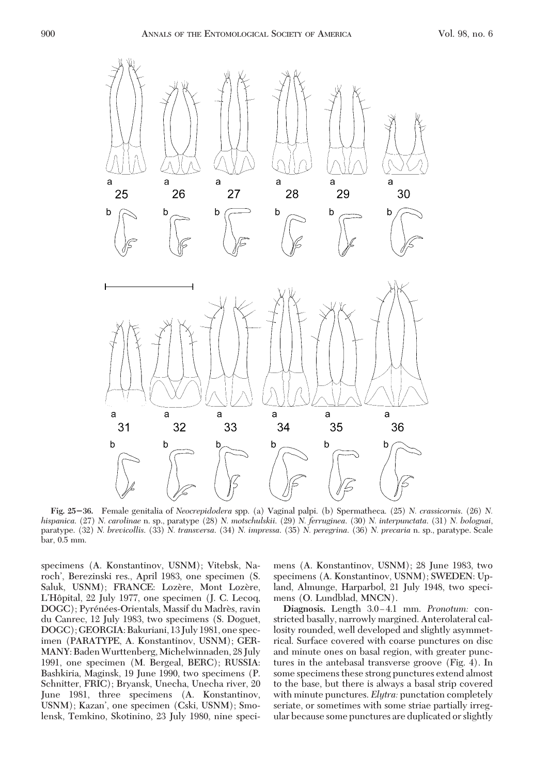

**Fig. 2536.** Female genitalia of *Neocrepidodera* spp. (a) Vaginal palpi. (b) Spermatheca. (25) *N. crassicornis*. (26) *N. hispanica*. (27) *N. carolinae* n. sp., paratype (28) *N. motschulskii*. (29) *N. ferruginea*. (30) *N. interpunctata*. (31) *N. bolognai*, paratype. (32) *N. brevicollis*. (33) *N. transversa*. (34) *N. impressa*. (35) *N. peregrina*. (36) *N. precaria* n. sp., paratype. Scale bar, 0.5 mm.

specimens (A. Konstantinov, USNM); Vitebsk, Naroch', Berezinski res., April 1983, one specimen (S. Saluk, USNM); FRANCE: Lozère, Mont Lozère, L'Hôpital, 22 July 1977, one specimen (J. C. Lecoq, DOGC); Pyrénées-Orientals, Massif du Madrès, ravin du Canrec, 12 July 1983, two specimens (S. Doguet, DOGC); GEORGIA: Bakuriani, 13 July 1981, one specimen (PARATYPE, A. Konstantinov, USNM); GER-MANY: BadenWurttenberg, Michelwinnaden, 28 July 1991, one specimen (M. Bergeal, BERC); RUSSIA: Bashkiria, Maginsk, 19 June 1990, two specimens (P. Schnitter, FRIC); Bryansk, Unecha, Unecha river, 20 June 1981, three specimens (A. Konstantinov, USNM); Kazan', one specimen (Cski, USNM); Smolensk, Temkino, Skotinino, 23 July 1980, nine specimens (A. Konstantinov, USNM); 28 June 1983, two specimens (A. Konstantinov, USNM); SWEDEN: Upland, Almunge, Harparbol, 21 July 1948, two specimens (O. Lundblad, MNCN).

Diagnosis. Length  $3.0-4.1$  mm. *Pronotum:* constricted basally, narrowly margined. Anterolateral callosity rounded, well developed and slightly asymmetrical. Surface covered with coarse punctures on disc and minute ones on basal region, with greater punctures in the antebasal transverse groove (Fig. 4). In some specimens these strong punctures extend almost to the base, but there is always a basal strip covered with minute punctures. *Elytra:* punctation completely seriate, or sometimes with some striae partially irregular because some punctures are duplicated or slightly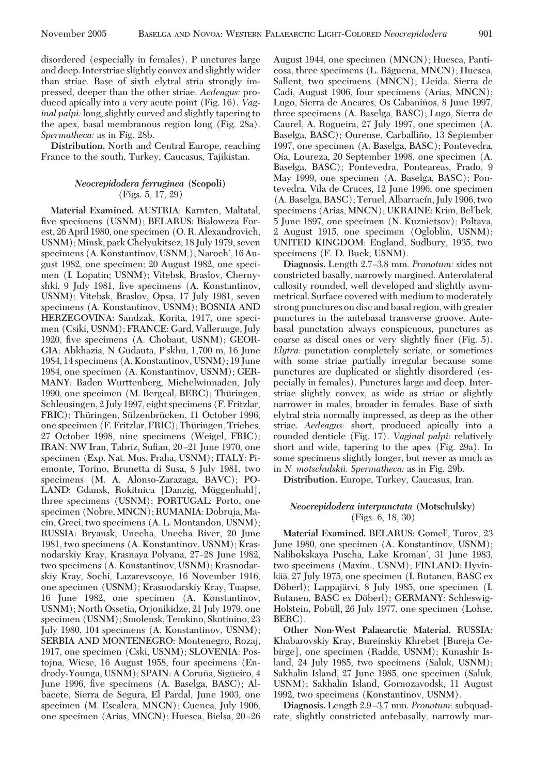disordered (especially in females). P unctures large and deep. Interstriae slightly convex and slightly wider than striae. Base of sixth elytral stria strongly impressed, deeper than the other striae. *Aedeagus:* produced apically into a very acute point (Fig. 16). *Vaginal palpi:* long, slightly curved and slightly tapering to the apex, basal membranous region long (Fig. 28a). *Spermatheca:* as in Fig. 28b.

**Distribution.** North and Central Europe, reaching France to the south, Turkey, Caucasus, Tajikistan.

# *Neocrepidodera ferruginea* **(Scopoli)** (Figs. 5, 17, 29)

**Material Examined.** AUSTRIA: Karnten, Maltatal, five specimens (USNM); BELARUS: Bialoweza Forest, 26 April 1980, one specimen (O. R. Alexandrovich, USNM); Minsk, park Chelyukitsez, 18 July 1979, seven specimens (A. Konstantinov, USNM,); Naroch', 16 August 1982, one specimen; 20 August 1982, one specimen (I. Lopatin; USNM); Vitebsk, Braslov, Chernyshki, 9 July 1981, five specimens (A. Konstantinov, USNM); Vitebsk, Braslov, Opsa, 17 July 1981, seven specimens (A. Konstantinov, USNM); BOSNIA AND HERZEGOVINA: Sandzak, Korita, 1917, one specimen (Csiki, USNM); FRANCE: Gard, Vallerauge, July 1920, five specimens (A. Chobaut, USNM); GEOR-GIA: Abkhazia, N Gudauta, P'skhu, 1,700 m, 16 June 1984, 14 specimens (A. Konstantinov, USNM); 19 June 1984, one specimen (A. Konstantinov, USNM); GER-MANY: Baden Wurttenberg, Michelwinnaden, July 1990, one specimen (M. Bergeal, BERC); Thüringen, Schleusingen, 2 July 1997, eight specimens (F. Fritzlar, FRIC); Thüringen, Sülzenbrücken, 11 October 1996, one specimen (F. Fritzlar, FRIC); Thüringen, Triebes, 27 October 1998, nine specimens (Weigel, FRIC); IRAN: NW Iran, Tabriz, Sufian, 20-21 June 1970, one specimen (Exp. Nat. Mus. Praha, USNM); ITALY: Piemonte, Torino, Brunetta di Susa, 8 July 1981, two specimens (M. A. Alonso-Zarazaga, BAVC); PO-LAND: Gdansk, Rokitnica [Danzig, Müggenhahl], three specimens (USNM); PORTUGAL: Porto, one specimen (Nobre, MNCN); RUMANIA: Dobruja, Macin, Greci, two specimens (A. L. Montandon, USNM); RUSSIA: Bryansk, Unecha, Unecha River, 20 June 1981, two specimens (A. Konstantinov, USNM); Krasnodarskiy Kray, Krasnaya Polyana, 27–28 June 1982, two specimens (A. Konstantinov, USNM); Krasnodarskiy Kray, Sochi, Lazarevscoye, 16 November 1916, one specimen (USNM); Krasnodarskiy Kray, Tuapse, 16 June 1982, one specimen (A. Konstantinov, USNM); North Ossetia, Orjonikidze, 21 July 1979, one specimen (USNM); Smolensk, Temkino, Skotinino, 23 July 1980, 104 specimens (A. Konstantinov, USNM); SERBIA AND MONTENEGRO: Montenegro, Rozaj, 1917, one specimen (Cski, USNM); SLOVENIA: Postojna, Wiese, 16 August 1958, four specimens (Endrody-Younga, USNM); SPAIN: A Coruña, Sigüeiro, 4 June 1996, five specimens (A. Baselga, BASC); Albacete, Sierra de Segura, El Pardal, June 1903, one specimen (M. Escalera, MNCN); Cuenca, July 1906, one specimen (Arias, MNCN); Huesca, Bielsa, 20-26

August 1944, one specimen (MNCN); Huesca, Panticosa, three specimens (L. Ba´guena, MNCN); Huesca, Sallent, two specimens (MNCN); Lleida, Sierra de Cadi, August 1906, four specimens (Arias, MNCN); Lugo, Sierra de Ancares, Os Cabaniños, 8 June 1997, three specimens (A. Baselga, BASC); Lugo, Sierra de Caurel, A. Rogueira, 27 July 1997, one specimen (A. Baselga, BASC); Ourense, Carballiño, 13 September 1997, one specimen (A. Baselga, BASC); Pontevedra, Oia, Loureza, 20 September 1998, one specimen (A. Baselga, BASC); Pontevedra, Ponteareas, Prado, 9 May 1999, one specimen (A. Baselga, BASC); Pontevedra, Vila de Cruces, 12 June 1996, one specimen (A. Baselga, BASC); Teruel, Albarracín, July 1906, two specimens (Arias, MNCN); UKRAINE: Krim, Bel'bek, 5 June 1897, one specimen (N. Kuznietsov); Poltava, 2 August 1915, one specimen (Ogloblin, USNM); UNITED KINGDOM: England, Sudbury, 1935, two specimens (F. D. Buck; USNM).

Diagnosis. Length 2.7-3.8 mm. *Pronotum:* sides not constricted basally, narrowly margined. Anterolateral callosity rounded, well developed and slightly asymmetrical. Surface covered with medium to moderately strong punctures on disc and basal region, with greater punctures in the antebasal transverse groove. Antebasal punctation always conspicuous, punctures as coarse as discal ones or very slightly finer (Fig. 5). *Elytra:* punctation completely seriate, or sometimes with some striae partially irregular because some punctures are duplicated or slightly disordered (especially in females). Punctures large and deep. Interstriae slightly convex, as wide as striae or slightly narrower in males, broader in females. Base of sixth elytral stria normally impressed, as deep as the other striae. *Aedeagus:* short, produced apically into a rounded denticle (Fig. 17). *Vaginal palpi:* relatively short and wide, tapering to the apex (Fig. 29a). In some specimens slightly longer, but never as much as in *N. motschulskii. Spermatheca:* as in Fig. 29b.

**Distribution.** Europe, Turkey, Caucasus, Iran.

# *Neocrepidodera interpunctata* **(Motschulsky)** (Figs. 6, 18, 30)

Material Examined. BELARUS: Gomel', Turov, 23 June 1980, one specimen (A. Konstantinov, USNM); Nalibokskaya Puscha, Lake Kroman', 31 June 1983, two specimens (Maxim., USNM); FINLAND: Hyvinkää, 27 July 1975, one specimen (I. Rutanen, BASC ex Döberl); Lappajärvi, 8 July 1985, one specimen (I. Rutanen, BASC ex Döberl); GERMANY: Schleswig-Holstein, Pobull, 26 July 1977, one specimen (Lohse, BERC).

**Other Non-West Palaearctic Material.** RUSSIA: Khabarovskiy Kray, Bureinskiy Khrebet [Bureja Gebirge], one specimen (Radde, USNM); Kunashir Island, 24 July 1985, two specimens (Saluk, USNM); Sakhalin Island, 27 June 1985, one specimen (Saluk, USNM); Sakhalin Island, Gornozavodsk, 11 August 1992, two specimens (Konstantinov, USNM).

Diagnosis. Length 2.9-3.7 mm. *Pronotum:* subquadrate, slightly constricted antebasally, narrowly mar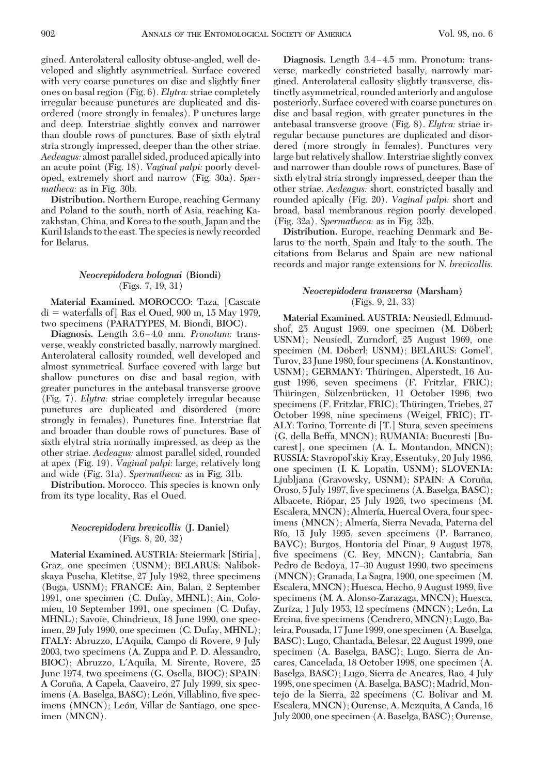gined. Anterolateral callosity obtuse-angled, well developed and slightly asymmetrical. Surface covered with very coarse punctures on disc and slightly finer ones on basal region (Fig. 6). *Elytra:*striae completely irregular because punctures are duplicated and disordered (more strongly in females). P unctures large and deep. Interstriae slightly convex and narrower than double rows of punctures. Base of sixth elytral stria strongly impressed, deeper than the other striae. *Aedeagus:* almost parallel sided, produced apically into an acute point (Fig. 18). *Vaginal palpi:* poorly developed, extremely short and narrow (Fig. 30a). *Spermatheca:* as in Fig. 30b.

**Distribution.** Northern Europe, reaching Germany and Poland to the south, north of Asia, reaching Kazakhstan, China, and Korea to the south, Japan and the Kuril Islands to the east. The species is newly recorded for Belarus.

# *Neocrepidodera bolognai* **(Biondi)** (Figs. 7, 19, 31)

**Material Examined.** MOROCCO: Taza, [Cascate di - waterfalls of] Ras el Oued, 900 m, 15 May 1979, two specimens (PARATYPES, M. Biondi, BIOC).

**Diagnosis.** Length 3.6–4.0 mm. *Pronotum:* transverse, weakly constricted basally, narrowly margined. Anterolateral callosity rounded, well developed and almost symmetrical. Surface covered with large but shallow punctures on disc and basal region, with greater punctures in the antebasal transverse groove (Fig. 7). *Elytra:* striae completely irregular because punctures are duplicated and disordered (more strongly in females). Punctures fine. Interstriae flat and broader than double rows of punctures. Base of sixth elytral stria normally impressed, as deep as the other striae. *Aedeagus:* almost parallel sided, rounded at apex (Fig. 19). *Vaginal palpi:* large, relatively long and wide (Fig. 31a). *Spermatheca:* as in Fig. 31b.

**Distribution.** Morocco. This species is known only from its type locality, Ras el Oued.

#### *Neocrepidodera brevicollis* **(J. Daniel)** (Figs. 8, 20, 32)

**Material Examined.** AUSTRIA: Steiermark [Stiria], Graz, one specimen (USNM); BELARUS: Nalibokskaya Puscha, Kletitse, 27 July 1982, three specimens (Buga, USNM); FRANCE: Ain, Balan, 2 September 1991, one specimen (C. Dufay, MHNL); Ain, Colomieu, 10 September 1991, one specimen (C. Dufay, MHNL); Savoie, Chindrieux, 18 June 1990, one specimen, 29 July 1990, one specimen (C. Dufay, MHNL); ITALY: Abruzzo, L'Aquila, Campo di Rovere, 9 July 2003, two specimens (A. Zuppa and P. D. Alessandro, BIOC); Abruzzo, L'Aquila, M. Sirente, Rovere, 25 June 1974, two specimens (G. Osella, BIOC); SPAIN: A Coruña, A Capela, Caaveiro, 27 July 1999, six specimens (A. Baselga, BASC); León, Villablino, five specimens (MNCN); León, Villar de Santiago, one specimen (MNCN).

Diagnosis. Length 3.4-4.5 mm. Pronotum: transverse, markedly constricted basally, narrowly margined. Anterolateral callosity slightly transverse, distinctly asymmetrical, rounded anteriorly and angulose posteriorly. Surface covered with coarse punctures on disc and basal region, with greater punctures in the antebasal transverse groove (Fig. 8). *Elytra:* striae irregular because punctures are duplicated and disordered (more strongly in females). Punctures very large but relatively shallow. Interstriae slightly convex and narrower than double rows of punctures. Base of sixth elytral stria strongly impressed, deeper than the other striae. *Aedeagus:* short, constricted basally and rounded apically (Fig. 20). *Vaginal palpi:* short and broad, basal membranous region poorly developed (Fig. 32a). *Spermatheca:* as in Fig. 32b.

**Distribution.** Europe, reaching Denmark and Belarus to the north, Spain and Italy to the south. The citations from Belarus and Spain are new national records and major range extensions for *N. brevicollis.*

## *Neocrepidodera transversa* **(Marsham)** (Figs. 9, 21, 33)

**Material Examined.** AUSTRIA: Neusiedl, Edmundshof, 25 August 1969, one specimen (M. Döberl; USNM); Neusiedl, Zurndorf, 25 August 1969, one specimen (M. Döberl; USNM); BELARUS: Gomel', Turov, 23 June 1980, four specimens (A. Konstantinov, USNM); GERMANY: Thüringen, Alperstedt, 16 August 1996, seven specimens (F. Fritzlar, FRIC); Thüringen, Sülzenbrücken, 11 October 1996, two specimens (F. Fritzlar, FRIC); Thüringen, Triebes, 27 October 1998, nine specimens (Weigel, FRIC); IT-ALY: Torino, Torrente di [T.] Stura, seven specimens (G. della Beffa, MNCN); RUMANIA: Bucuresti [Bucarest], one specimen (A. L. Montandon, MNCN); RUSSIA: Stavropol'skiy Kray, Essentuky, 20 July 1986, one specimen (I. K. Lopatin, USNM); SLOVENIA: Ljubljana (Gravowsky, USNM); SPAIN: A Coruña, Oroso, 5 July 1997, five specimens (A. Baselga, BASC); Albacete, Riópar, 25 July 1926, two specimens (M. Escalera, MNCN); Almería, Huercal Overa, four specimens (MNCN); Almería, Sierra Nevada, Paterna del Río, 15 July 1995, seven specimens (P. Barranco, BAVC); Burgos, Hontoria del Pinar, 9 August 1978, five specimens (C. Rey, MNCN); Cantabria, San Pedro de Bedoya, 17–30 August 1990, two specimens (MNCN); Granada, La Sagra, 1900, one specimen (M. Escalera, MNCN); Huesca, Hecho, 9 August 1989, five specimens (M. A. Alonso-Zarazaga, MNCN); Huesca, Zuriza, 1 July 1953, 12 specimens (MNCN); León, La Ercina, five specimens (Cendrero, MNCN); Lugo, Baleira, Pousada, 17 June 1999, one specimen (A. Baselga, BASC); Lugo, Chantada, Belesar, 22 August 1999, one specimen (A. Baselga, BASC); Lugo, Sierra de Ancares, Cancelada, 18 October 1998, one specimen (A. Baselga, BASC); Lugo, Sierra de Ancares, Rao, 4 July 1998, one specimen (A. Baselga, BASC); Madrid, Montejo de la Sierra, 22 specimens (C. Bolivar and M. Escalera, MNCN); Ourense, A. Mezquita, A Canda, 16 July 2000, one specimen (A. Baselga, BASC); Ourense,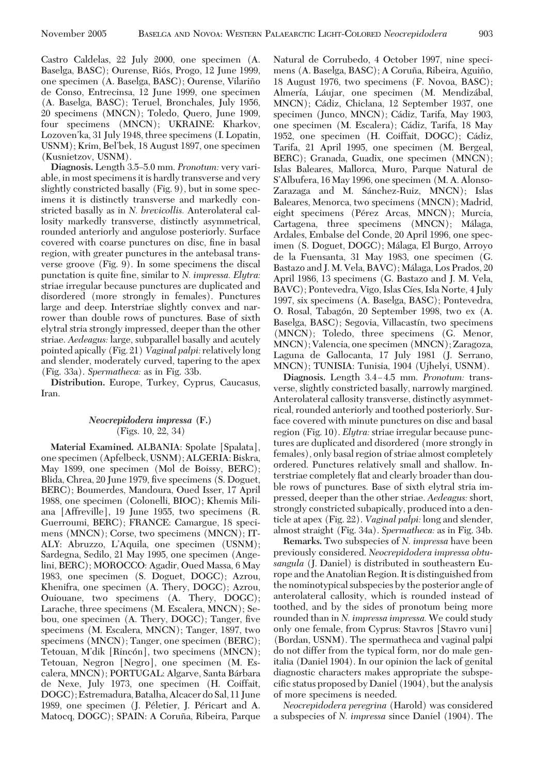Castro Caldelas, 22 July 2000, one specimen (A. Baselga, BASC); Ourense, Riós, Progo, 12 June 1999, one specimen (A. Baselga, BASC); Ourense, Vilariño de Conso, Entrecinsa, 12 June 1999, one specimen (A. Baselga, BASC); Teruel, Bronchales, July 1956, 20 specimens (MNCN); Toledo, Quero, June 1909, four specimens (MNCN); UKRAINE: Kharkov, Lozoven'ka, 31 July 1948, three specimens (I. Lopatin, USNM); Krim, Bel'bek, 18 August 1897, one specimen (Kusnietzov, USNM).

**Diagnosis.** Length 3.5–5.0 mm. *Pronotum:* very variable, in most specimens it is hardly transverse and very slightly constricted basally (Fig. 9), but in some specimens it is distinctly transverse and markedly constricted basally as in *N. brevicollis.* Anterolateral callosity markedly transverse, distinctly asymmetrical, rounded anteriorly and angulose posteriorly. Surface covered with coarse punctures on disc, fine in basal region, with greater punctures in the antebasal transverse groove (Fig. 9). In some specimens the discal punctation is quite fine, similar to *N. impressa. Elytra:* striae irregular because punctures are duplicated and disordered (more strongly in females). Punctures large and deep. Interstriae slightly convex and narrower than double rows of punctures. Base of sixth elytral stria strongly impressed, deeper than the other striae. *Aedeagus:* large, subparallel basally and acutely pointed apically (Fig. 21) *Vaginal palpi:* relativelylong and slender, moderately curved, tapering to the apex (Fig. 33a). *Spermatheca:* as in Fig. 33b.

**Distribution.** Europe, Turkey, Cyprus, Caucasus, Iran.

# *Neocrepidodera impressa* **(F.)** (Figs. 10, 22, 34)

**Material Examined.** ALBANIA: Spolate [Spalata], one specimen (Apfelbeck, USNM); ALGERIA: Biskra, May 1899, one specimen (Mol de Boissy, BERC); Blida, Chrea, 20 June 1979, five specimens (S. Doguet, BERC); Boumerdes, Mandoura, Oued Isser, 17 April 1988, one specimen (Colonelli, BIOC); Khemis Miliana [Affreville], 19 June 1955, two specimens (R. Guerroumi, BERC); FRANCE: Camargue, 18 specimens (MNCN); Corse, two specimens (MNCN); IT-ALY: Abruzzo, L'Aquila, one specimen (USNM); Sardegna, Sedilo, 21 May 1995, one specimen (Angelini, BERC); MOROCCO: Agadir, Oued Massa, 6 May 1983, one specimen (S. Doguet, DOGC); Azrou, Khenifra, one specimen (A. Thery, DOGC); Azrou, Ouiouane, two specimens (A. Thery, DOGC); Larache, three specimens (M. Escalera, MNCN); Sebou, one specimen (A. Thery, DOGC); Tanger, five specimens (M. Escalera, MNCN); Tanger, 1897, two specimens (MNCN); Tanger, one specimen (BERC); Tetouan, M'dik [Rincón], two specimens (MNCN); Tetouan, Negron [Negro], one specimen (M. Escalera, MNCN); PORTUGAL: Algarve, Santa Bárbara de Nexe, July 1973, one specimen (H. Coiffait, DOGC); Estremadura, Batalha, Alcacer do Sal, 11 June 1989, one specimen (J. Péletier, J. Péricart and A. Matocq, DOGC); SPAIN: A Coruña, Ribeira, Parque

Natural de Corrubedo, 4 October 1997, nine specimens (A. Baselga, BASC); A Coruña, Ribeira, Aguiño, 18 August 1976, two specimens (F. Novoa, BASC); Almería, Láujar, one specimen (M. Mendizábal, MNCN); Ca´diz, Chiclana, 12 September 1937, one specimen (Junco, MNCN); Cádiz, Tarifa, May 1903, one specimen (M. Escalera); Cádiz, Tarifa, 18 May 1952, one specimen (H. Coiffait, DOGC); Cádiz, Tarifa, 21 April 1995, one specimen (M. Bergeal, BERC); Granada, Guadix, one specimen (MNCN); Islas Baleares, Mallorca, Muro, Parque Natural de S'Albufera, 16 May 1996, one specimen (M. A. Alonso-Zarazaga and M. Sánchez-Ruiz, MNCN); Islas Baleares, Menorca, two specimens (MNCN); Madrid, eight specimens (Pérez Arcas, MNCN); Murcia, Cartagena, three specimens (MNCN); Málaga, Ardales, Embalse del Conde, 20 April 1996, one specimen (S. Doguet, DOGC); Málaga, El Burgo, Arroyo de la Fuensanta, 31 May 1983, one specimen (G. Bastazo and J. M. Vela, BAVC); Málaga, Los Prados, 20 April 1986, 13 specimens (G. Bastazo and J. M. Vela, BAVC); Pontevedra, Vigo, Islas Cíes, Isla Norte, 4 July 1997, six specimens (A. Baselga, BASC); Pontevedra, O. Rosal, Tabagón, 20 September 1998, two ex (A. Baselga, BASC); Segovia, Villacastín, two specimens (MNCN); Toledo, three specimens (G. Menor, MNCN); Valencia, one specimen (MNCN); Zaragoza, Laguna de Gallocanta, 17 July 1981 (J. Serrano, MNCN); TUNISIA: Tunisia, 1904 (Ujhelyi, USNM).

**Diagnosis.** Length 3.4-4.5 mm. *Pronotum:* transverse, slightly constricted basally, narrowly margined. Anterolateral callosity transverse, distinctly asymmetrical, rounded anteriorly and toothed posteriorly. Surface covered with minute punctures on disc and basal region (Fig. 10). *Elytra:*striae irregular because punctures are duplicated and disordered (more strongly in females), only basal region of striae almost completely ordered. Punctures relatively small and shallow. Interstriae completely ßat and clearly broader than double rows of punctures. Base of sixth elytral stria impressed, deeper than the other striae. *Aedeagus:* short, strongly constricted subapically, produced into a denticle at apex (Fig. 22). *Vaginal palpi:* long and slender, almost straight (Fig. 34a). *Spermatheca:* as in Fig. 34b.

**Remarks.** Two subspecies of *N. impressa* have been previously considered. *Neocrepidodera impressa obtusangula* (J. Daniel) is distributed in southeastern Europe and the Anatolian Region. It is distinguished from the nominotypical subspecies by the posterior angle of anterolateral callosity, which is rounded instead of toothed, and by the sides of pronotum being more rounded than in *N. impressa impressa.* We could study only one female, from Cyprus: Stavros [Stavro vuni] (Bordan, USNM). The spermatheca and vaginal palpi do not differ from the typical form, nor do male genitalia (Daniel 1904). In our opinion the lack of genital diagnostic characters makes appropriate the subspecific status proposed by Daniel (1904), but the analysis of more specimens is needed.

*Neocrepidodera peregrina* (Harold) was considered a subspecies of *N. impressa* since Daniel (1904). The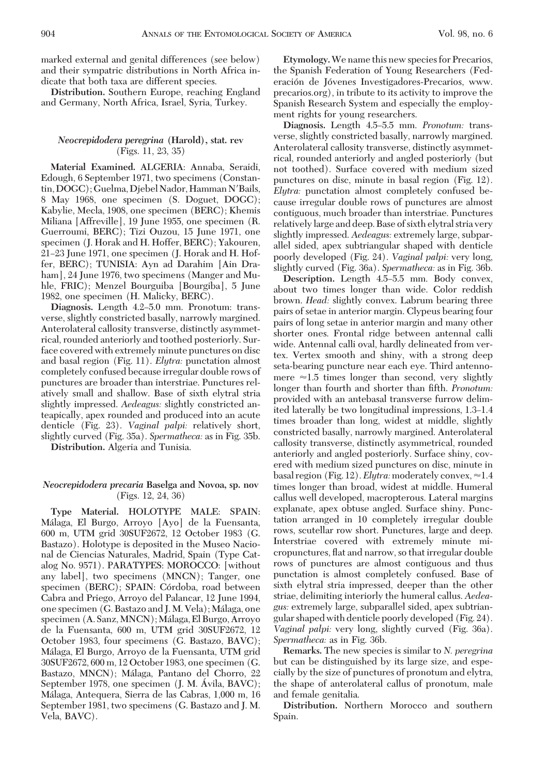marked external and genital differences (see below) and their sympatric distributions in North Africa indicate that both taxa are different species.

**Distribution.** Southern Europe, reaching England and Germany, North Africa, Israel, Syria, Turkey.

## *Neocrepidodera peregrina* **(Harold), stat. rev** (Figs. 11, 23, 35)

**Material Examined.** ALGERIA: Annaba, Seraidi, Edough, 6 September 1971, two specimens (Constantin, DOGC); Guelma, Djebel Nador, Hamman N'Bails, 8 May 1968, one specimen (S. Doguet, DOGC); Kabylie, Mecla, 1908, one specimen (BERC); Khemis Miliana [Affreville], 19 June 1955, one specimen (R. Guerroumi, BERC); Tizi Ouzou, 15 June 1971, one specimen (J. Horak and H. Hoffer, BERC); Yakouren, 21–23 June 1971, one specimen (J. Horak and H. Hoffer, BERC); TUNISIA: Ayn ad Darahim [Ain Draham], 24 June 1976, two specimens (Manger and Muhle, FRIC); Menzel Bourguiba [Bourgiba], 5 June 1982, one specimen (H. Malicky, BERC).

Diagnosis. Length 4.2-5.0 mm. Pronotum: transverse, slightly constricted basally, narrowly margined. Anterolateral callosity transverse, distinctly asymmetrical, rounded anteriorly and toothed posteriorly. Surface covered with extremely minute punctures on disc and basal region (Fig. 11). *Elytra:* punctation almost completely confused because irregular double rows of punctures are broader than interstriae. Punctures relatively small and shallow. Base of sixth elytral stria slightly impressed. *Aedeagus:* slightly constricted anteapically, apex rounded and produced into an acute denticle (Fig. 23). *Vaginal palpi:* relatively short, slightly curved (Fig. 35a). *Spermatheca:* as in Fig. 35b.

**Distribution.** Algeria and Tunisia.

## *Neocrepidodera precaria* **Baselga and Novoa, sp. nov** (Figs. 12, 24, 36)

**Type Material.** HOLOTYPE MALE: SPAIN: Ma´laga, El Burgo, Arroyo [Ayo] de la Fuensanta, 600 m, UTM grid 30SUF2672, 12 October 1983 (G. Bastazo). Holotype is deposited in the Museo Nacional de Ciencias Naturales, Madrid, Spain (Type Catalog No. 9571). PARATYPES: MOROCCO: [without any label], two specimens (MNCN); Tanger, one specimen (BERC); SPAIN: Córdoba, road between Cabra and Priego, Arroyo del Palancar, 12 June 1994, one specimen (G. Bastazo and J. M. Vela); Málaga, one specimen (A. Sanz, MNCN); Málaga, El Burgo, Arroyo de la Fuensanta, 600 m, UTM grid 30SUF2672, 12 October 1983, four specimens (G. Bastazo, BAVC); Ma´laga, El Burgo, Arroyo de la Fuensanta, UTM grid 30SUF2672, 600 m, 12 October 1983, one specimen (G. Bastazo, MNCN); Málaga, Pantano del Chorro, 22 September 1978, one specimen (J. M. Avila, BAVC); Ma´laga, Antequera, Sierra de las Cabras, 1,000 m, 16 September 1981, two specimens (G. Bastazo and J. M. Vela, BAVC).

**Etymology.**We name this new species for Precarios, the Spanish Federation of Young Researchers (Federación de Jóvenes Investigadores-Precarios, www. precarios.org), in tribute to its activity to improve the Spanish Research System and especially the employment rights for young researchers.

Diagnosis. Length 4.5–5.5 mm. *Pronotum:* transverse, slightly constricted basally, narrowly margined. Anterolateral callosity transverse, distinctly asymmetrical, rounded anteriorly and angled posteriorly (but not toothed). Surface covered with medium sized punctures on disc, minute in basal region (Fig. 12). *Elytra:* punctation almost completely confused because irregular double rows of punctures are almost contiguous, much broader than interstriae. Punctures relativelylarge and deep. Base of sixth elytral stria very slightly impressed. *Aedeagus:* extremely large, subparallel sided, apex subtriangular shaped with denticle poorly developed (Fig. 24). *Vaginal palpi:* very long, slightly curved (Fig. 36a). *Spermatheca:* as in Fig. 36b.

Description. Length 4.5-5.5 mm. Body convex, about two times longer than wide. Color reddish brown. *Head:* slightly convex. Labrum bearing three pairs of setae in anterior margin. Clypeus bearing four pairs of long setae in anterior margin and many other shorter ones. Frontal ridge between antennal calli wide. Antennal calli oval, hardly delineated from vertex. Vertex smooth and shiny, with a strong deep seta-bearing puncture near each eye. Third antennomere  $\approx$ 1.5 times longer than second, very slightly longer than fourth and shorter than fifth. *Pronotum*: provided with an antebasal transverse furrow delimited laterally be two longitudinal impressions, 1.3–1.4 times broader than long, widest at middle, slightly constricted basally, narrowly margined. Anterolateral callosity transverse, distinctly asymmetrical, rounded anteriorly and angled posteriorly. Surface shiny, covered with medium sized punctures on disc, minute in basal region (Fig. 12). *Elytra:* moderately convex,  $\approx$  1.4 times longer than broad, widest at middle. Humeral callus well developed, macropterous. Lateral margins explanate, apex obtuse angled. Surface shiny. Punctation arranged in 10 completely irregular double rows, scutellar row short. Punctures, large and deep. Interstriae covered with extremely minute micropunctures, ßat and narrow, so that irregular double rows of punctures are almost contiguous and thus punctation is almost completely confused. Base of sixth elytral stria impressed, deeper than the other striae, delimiting interiorly the humeral callus. *Aedeagus:* extremely large, subparallel sided, apex subtriangular shaped with denticle poorly developed (Fig. 24). *Vaginal palpi:* very long, slightly curved (Fig. 36a). *Spermatheca:* as in Fig. 36b.

**Remarks.** The new species is similar to *N. peregrina* but can be distinguished by its large size, and especially by the size of punctures of pronotum and elytra, the shape of anterolateral callus of pronotum, male and female genitalia.

**Distribution.** Northern Morocco and southern Spain.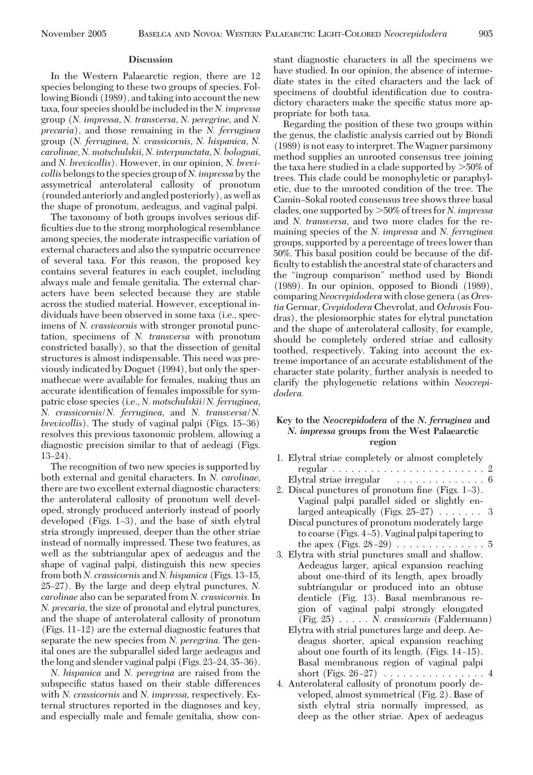In the Western Palaearctic region, there are 12 species belonging to these two groups of species. Following Biondi (1989), and taking into account the new taxa, four species should be included in the *N. impressa* group (*N. impressa, N. transversa, N. peregrine,* and *N. precaria*), and those remaining in the *N. ferruginea* group (*N. ferruginea, N. crassicornis, N. hispanica, N. carolinae, N. motschulskii, N. interpunctata, N. bolognai,* and *N. brevicollis*). However, in our opinion, *N. brevicollis* belongs to the species group of *N. impressa* by the assymetrical anterolateral callosity of pronotum (rounded anteriorly and angled posteriorly), as well as the shape of pronotum, aedeagus, and vaginal palpi.

The taxonomy of both groups involves serious difficulties due to the strong morphological resemblance among species, the moderate intraspecific variation of external characters and also the sympatric occurrence of several taxa. For this reason, the proposed key contains several features in each couplet, including always male and female genitalia. The external characters have been selected because they are stable across the studied material. However, exceptional individuals have been observed in some taxa (i.e., specimens of *N. crassicornis* with stronger pronotal punctation, specimens of *N. transversa* with pronotum constricted basally), so that the dissection of genital structures is almost indispensable. This need was previously indicated by Doguet (1994), but only the spermathecae were available for females, making thus an accurate identification of females impossible for sympatric close species (i.e., *N. motschulskii*/*N. ferruginea, N. crassicornis*/*N. ferruginea,* and *N. transversa*/*N. brevicollis*). The study of vaginal palpi (Figs. 15–36) resolves this previous taxonomic problem, allowing a diagnostic precision similar to that of aedeagi (Figs.  $13-24$ ).

The recognition of two new species is supported by both external and genital characters. In *N. carolinae,* there are two excellent external diagnostic characters: the anterolateral callosity of pronotum well developed, strongly produced anteriorly instead of poorly developed (Figs.  $1-3$ ), and the base of sixth elytral stria strongly impressed, deeper than the other striae instead of normally impressed. These two features, as well as the subtriangular apex of aedeagus and the shape of vaginal palpi, distinguish this new species from both *N. crassicornis* and *N. hispanica* (Figs. 13-15, 25Ð27). By the large and deep elytral punctures, *N. carolinae* also can be separated from *N. crassicornis.* In *N. precaria,* the size of pronotal and elytral punctures, and the shape of anterolateral callosity of pronotum  $(Figs. 11-12)$  are the external diagnostic features that separate the new species from *N. peregrina.* The genital ones are the subparallel sided large aedeagus and the long and slender vaginal palpi (Figs. 23–24, 35–36).

*N. hispanica* and *N. peregrina* are raised from the subspecific status based on their stable differences with *N. crassicornis* and *N. impressa,* respectively. External structures reported in the diagnoses and key, and especially male and female genitalia, show constant diagnostic characters in all the specimens we have studied. In our opinion, the absence of intermediate states in the cited characters and the lack of specimens of doubtful identification due to contradictory characters make the specific status more appropriate for both taxa.

Regarding the position of these two groups within the genus, the cladistic analysis carried out by Biondi (1989) is not easy to interpret. TheWagner parsimony method supplies an unrooted consensus tree joining the taxa here studied in a clade supported by  $>50\%$  of trees. This clade could be monophyletic or paraphyletic, due to the unrooted condition of the tree. The Camin-Sokal rooted consensus tree shows three basal clades, one supported by 50% of trees for *N. impressa* and *N. transversa,* and two more clades for the remaining species of the *N. impressa* and *N. ferruginea* groups, supported by a percentage of trees lower than 50%. This basal position could be because of the difficulty to establish the ancestral state of characters and the "ingroup comparison" method used by Biondi (1989). In our opinion, opposed to Biondi (1989), comparing *Neocrepidodera* with close genera (as *Orestia* Germar, *Crepidodera* Chevrolat, and *Ochrosis* Foudras), the plesiomorphic states for elytral punctation and the shape of anterolateral callosity, for example, should be completely ordered striae and callosity toothed, respectively. Taking into account the extreme importance of an accurate establishment of the character state polarity, further analysis is needed to clarify the phylogenetic relations within *Neocrepidodera.*

# **Key to the** *Neocrepidodera* **of the** *N. ferruginea* **and** *N. impressa* **groups from the West Palaearctic region**

| 1. Elytral striae completely or almost completely        |
|----------------------------------------------------------|
|                                                          |
| Elytral striae irregular $\ldots \ldots \ldots \ldots 6$ |
| 2. Discal punctures of pronotum fine (Figs. 1-3).        |
| Vaginal palpi parallel sided or slightly en-             |
| larged anteapically (Figs. $25-27$ ) 3                   |
| Discal punctures of pronotum moderately large            |
| to coarse (Figs. 4–5). Vaginal palpi tapering to         |
| the apex (Figs. $28-29$ ) 5                              |
| 3. Elytra with strial punctures small and shallow.       |
| Aedeagus larger, apical expansion reaching               |
| about one-third of its length, apex broadly              |
| subtriangular or produced into an obtuse                 |
| denticle (Fig. 13). Basal membranous re-                 |
| gion of vaginal palpi strongly elongated                 |
| $(Fig. 25) \ldots$ N. crassicornis (Faldermann)          |
| Elytra with strial punctures large and deep. Ae-         |
| deagus shorter, apical expansion reaching                |
| about one fourth of its length. (Figs. 14–15).           |
| Basal membranous region of vaginal palpi                 |
| short (Figs. $26-27$ ) 4                                 |
| 4. Antonolotomil collectus of muon otron moonly do       |

4. Anterolateral callosity of pronotum poorly developed, almost symmetrical (Fig. 2). Base of sixth elytral stria normally impressed, as deep as the other striae. Apex of aedeagus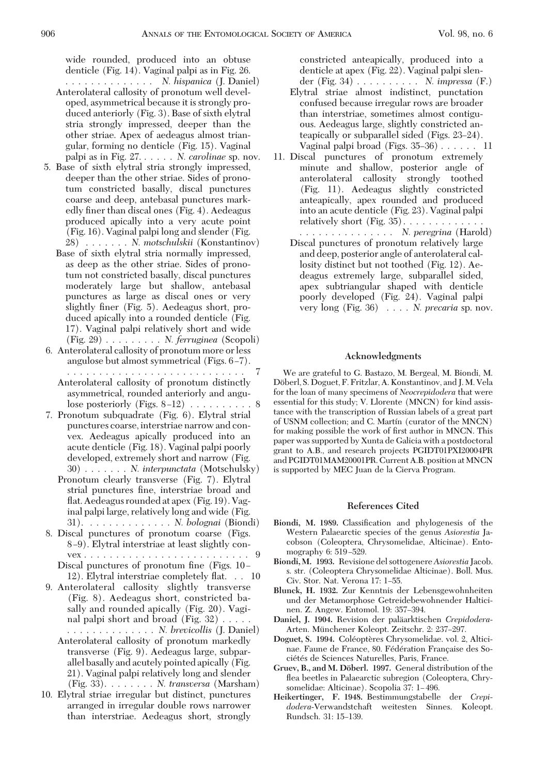wide rounded, produced into an obtuse denticle (Fig. 14). Vaginal palpi as in Fig. 26.

- .............. *N. hispanica* (J. Daniel) Anterolateral callosity of pronotum well developed, asymmetrical because it is strongly produced anteriorly (Fig. 3). Base of sixth elytral stria strongly impressed, deeper than the other striae. Apex of aedeagus almost triangular, forming no denticle (Fig. 15). Vaginal palpi as in Fig. 27. ..... *N. carolinae* sp. nov.
- 5. Base of sixth elytral stria strongly impressed, deeper than the other striae. Sides of pronotum constricted basally, discal punctures coarse and deep, antebasal punctures markedly finer than discal ones (Fig. 4). Aedeagus produced apically into a very acute point (Fig. 16). Vaginal palpi long and slender (Fig. 28) . . . . . . . *N. motschulskii* (Konstantinov)
	- Base of sixth elytral stria normally impressed, as deep as the other striae. Sides of pronotum not constricted basally, discal punctures moderately large but shallow, antebasal punctures as large as discal ones or very slightly finer (Fig. 5). Aedeagus short, produced apically into a rounded denticle (Fig. 17). Vaginal palpi relatively short and wide (Fig. 29) ......... *N. ferruginea* (Scopoli)
- 6. Anterolateral callosity of pronotum more or less angulose but almost symmetrical (Figs.  $6-7$ ). ............................ 7 Anterolateral callosity of pronotum distinctly
	- asymmetrical, rounded anteriorly and angulose posteriorly (Figs.  $8-12$ )  $\ldots \ldots \ldots$ .
- 7. Pronotum subquadrate (Fig. 6). Elytral strial punctures coarse, interstriae narrow and convex. Aedeagus apically produced into an acute denticle (Fig. 18). Vaginal palpi poorly developed, extremely short and narrow (Fig. 30) . . . . . . . *N. interpunctata* (Motschulsky)
	- Pronotum clearly transverse (Fig. 7). Elytral strial punctures fine, interstriae broad and ßat. Aedeagus rounded at apex (Fig. 19). Vaginal palpi large, relatively long and wide (Fig. 31). ............. *N. bolognai* (Biondi)
- 8. Discal punctures of pronotum coarse (Figs. 8 Ð9). Elytral interstriae at least slightly convex . . . . . . . . . . . . . . . . . . . . . . . . . . 9
	- Discal punctures of pronotum fine (Figs. 10 12). Elytral interstriae completely ßat. . . 10
- 9. Anterolateral callosity slightly transverse (Fig. 8). Aedeagus short, constricted basally and rounded apically (Fig. 20). Vaginal palpi short and broad (Fig. 32) .....
	- .............. *N. brevicollis* (J. Daniel) Anterolateral callosity of pronotum markedly transverse (Fig. 9). Aedeagus large, subparallel basally and acutely pointed apically (Fig. 21). Vaginal palpi relatively long and slender (Fig. 33). ....... *N. transversa* (Marsham)
- 10. Elytral striae irregular but distinct, punctures arranged in irregular double rows narrower than interstriae. Aedeagus short, strongly

constricted anteapically, produced into a denticle at apex (Fig. 22). Vaginal palpi slen-

- der (Fig. 34) .......... *N. impressa* (F.) Elytral striae almost indistinct, punctation confused because irregular rows are broader than interstriae, sometimes almost contiguous. Aedeagus large, slightly constricted anteapically or subparallel sided (Figs. 23-24). Vaginal palpi broad (Figs.  $35-36$ ) . . . . . . 11
- 11. Discal punctures of pronotum extremely minute and shallow, posterior angle of anterolateral callosity strongly toothed (Fig. 11). Aedeagus slightly constricted anteapically, apex rounded and produced into an acute denticle (Fig. 23). Vaginal palpi relatively short  $(Fig. 35)$ ............

............... *N. peregrina* (Harold)

Discal punctures of pronotum relatively large and deep, posterior angle of anterolateral callosity distinct but not toothed (Fig. 12). Aedeagus extremely large, subparallel sided, apex subtriangular shaped with denticle poorly developed (Fig. 24). Vaginal palpi very long (Fig. 36) .... *N. precaria* sp. nov.

#### **Acknowledgments**

We are grateful to G. Bastazo, M. Bergeal, M. Biondi, M. Döberl, S. Doguet, F. Fritzlar, A. Konstantinov, and J. M. Vela for the loan of many specimens of *Neocrepidodera* that were essential for this study; V. Llorente (MNCN) for kind assistance with the transcription of Russian labels of a great part of USNM collection; and C. Martín (curator of the MNCN) for making possible the work of first author in MNCN. This paper was supported by Xunta de Galicia with a postdoctoral grant to A.B., and research projects PGIDT01PXI20004PR and PGIDT01MAM20001PR. Current A.B. position at MNCN is supported by MEC Juan de la Cierva Program.

#### **References Cited**

- Biondi, M. 1989. Classification and phylogenesis of the Western Palaearctic species of the genus *Asiorestia* Jacobson (Coleoptera, Chrysomelidae, Alticinae). Entomography 6: 519–529.
- **Biondi, M. 1993.** Revisione del sottogenere*Asiorestia* Jacob. s. str. (Coleoptera Chrysomelidae Alticinae). Boll. Mus. Civ. Stor. Nat. Verona 17: 1-55.
- **Blunck, H. 1932.** Zur Kenntnis der Lebensgewohnheiten und der Metamorphose Getreidebewohnender Halticinen. Z. Angew. Entomol. 19: 357–394.
- Daniel, J. 1904. Revision der paläarktischen *Crepidodera*-Arten. Münchener Koleopt. Zeitschr. 2: 237–297.
- Doguet, S. 1994. Coléoptères Chrysomelidae. vol. 2, Alticinae. Faune de France, 80. Fédération Française des Sociétés de Sciences Naturelles, Paris, France.
- Gruev, B., and M. Döberl. 1997. General distribution of the flea beetles in Palaearctic subregion (Coleoptera, Chrysomelidae: Alticinae). Scopolia 37: 1-496.
- **Heikertinger, F. 1948.** Bestimmungstabelle der *Crepidodera*-Verwandstchaft weitesten Sinnes. Koleopt. Rundsch. 31: 15-139.